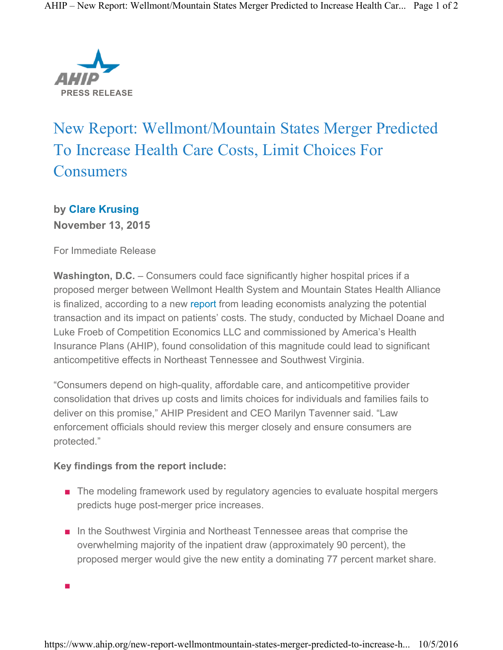

## New Report: Wellmont/Mountain States Merger Predicted To Increase Health Care Costs, Limit Choices For **Consumers**

**by Clare Krusing November 13, 2015**

For Immediate Release

**Washington, D.C.** – Consumers could face significantly higher hospital prices if a proposed merger between Wellmont Health System and Mountain States Health Alliance is finalized, according to a new report from leading economists analyzing the potential transaction and its impact on patients' costs. The study, conducted by Michael Doane and Luke Froeb of Competition Economics LLC and commissioned by America's Health Insurance Plans (AHIP), found consolidation of this magnitude could lead to significant anticompetitive effects in Northeast Tennessee and Southwest Virginia.

"Consumers depend on high-quality, affordable care, and anticompetitive provider consolidation that drives up costs and limits choices for individuals and families fails to deliver on this promise," AHIP President and CEO Marilyn Tavenner said. "Law enforcement officials should review this merger closely and ensure consumers are protected."

## **Key findings from the report include:**

- The modeling framework used by regulatory agencies to evaluate hospital mergers predicts huge post-merger price increases.
- In the Southwest Virginia and Northeast Tennessee areas that comprise the overwhelming majority of the inpatient draw (approximately 90 percent), the proposed merger would give the new entity a dominating 77 percent market share.

■